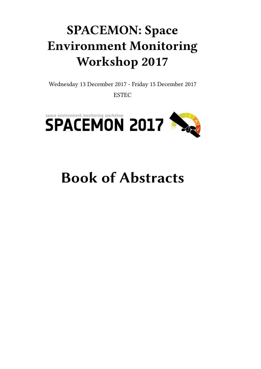## **SPACEMON: Space Environment Monitoring Workshop 2017**

Wednesday 13 December 2017 - Friday 15 December 2017

ESTEC



# **Book of Abstracts**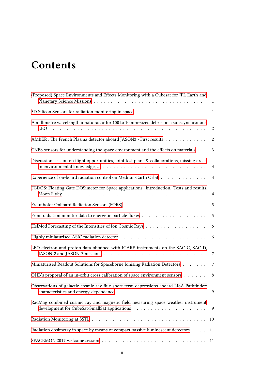## **Contents**

| (Proposed) Space Environments and Effects Monitoring with a Cubesat for JPL Earth and                                                                                                                   | $\mathbf{1}$     |
|---------------------------------------------------------------------------------------------------------------------------------------------------------------------------------------------------------|------------------|
|                                                                                                                                                                                                         |                  |
| A millimetre wavelength in-situ radar for 100 to 10 mm-sized debris on a sun-synchronous                                                                                                                | $\boldsymbol{2}$ |
| AMBER : The French Plasma detector aboard JASON3 - First results                                                                                                                                        | 2                |
| CNES sensors for understanding the space environment and the effects on materials                                                                                                                       | $\mathbf{3}$     |
| Discussion session on flight opportunities, joint test plans & collaborations, missing areas                                                                                                            | $\overline{4}$   |
| Experience of on-board radiation control on Medium-Earth Orbit 4                                                                                                                                        |                  |
| FGDOS: Floating Gate DOSimeter for Space applications. Introduction. Tests and results.                                                                                                                 | $\overline{4}$   |
|                                                                                                                                                                                                         |                  |
|                                                                                                                                                                                                         | $\overline{5}$   |
|                                                                                                                                                                                                         | 6                |
|                                                                                                                                                                                                         | $6\overline{6}$  |
| LEO electron and proton data obtained with ICARE instruments on the SAC-C, SAC-D,<br>JASON-2 and JASON-3 missions $\ldots \ldots \ldots \ldots \ldots \ldots \ldots \ldots \ldots \ldots \ldots \ldots$ |                  |
| Miniaturised Readout Solutions for Spaceborne Ionising Radiation Detectors 7                                                                                                                            |                  |
| OHB's proposal of an in-orbit cross calibration of space environment sensors                                                                                                                            | 8 <sup>8</sup>   |
| Observations of galactic cosmic-ray flux short-term depressions aboard LISA Pathfinder:                                                                                                                 | 9                |
| RadMag combined cosmic ray and magnetic field measuring space weather instrument                                                                                                                        | 9                |
|                                                                                                                                                                                                         | 10               |
| Radiation dosimetry in space by means of compact passive luminescent detectors                                                                                                                          | 11               |
|                                                                                                                                                                                                         | 11               |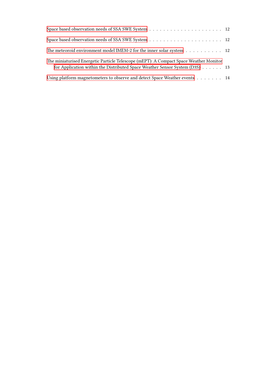| The meteoroid environment model IMEM-2 for the inner solar system 12                                                                                                 |  |
|----------------------------------------------------------------------------------------------------------------------------------------------------------------------|--|
| The miniaturised Energetic Particle Telescope (mEPT): A Compact Space Weather Monitor<br>for Application within the Distributed Space Weather Sensor System (D3S) 13 |  |
| Using platform magnetometers to observe and detect Space Weather events 14                                                                                           |  |
|                                                                                                                                                                      |  |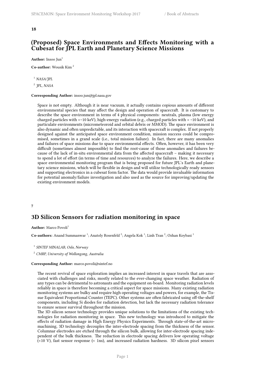### <span id="page-4-0"></span>**(Proposed) Space Environments and Effects Monitoring with a Cubesat for JPL Earth and Planetary Science Missions**

**Author:** Insoo Jun<sup>1</sup>

**Co-author:** Wousik Kim <sup>2</sup>

<sup>1</sup> *NASA/JPL*

2 *JPL, NASA*

**Corresponding Author:** insoo.jun@jpl.nasa.gov

Space is not empty. Although it is near vacuum, it actually contains copious amounts of different environmental species that may affect the design and operation of spacecraft. It is customary to describe the space environment in terms of 4 physical components: neutrals, plasma (low energy charged particles with <~10 keV), high-energy radiation (e.g., charged particles with > ~10 keV), and particulate environments (micrometeoroid and orbital debris or MMOD). The space environment is also dynamic and often unpredictable, and its interaction with spacecraft is complex. If not properly designed against the anticipated space environment condition, mission success could be compromised, sometimes in a grand scale (i.e., total mission failure). In fact, there are many anomalies and failures of space missions due to space environmental effects. Often, however, it has been very difficult (sometimes almost impossible) to find the root-cause of those anomalies and failures because of the lack of in-situ environmental data from the affected spacecraft – making it necessary to spend a lot of effort (in terms of time and resources) to analyze the failures. Here, we describe a space environmental monitoring program that is being proposed for future JPL's Earth and planetary science missions, which will be flexible in design and will utilize technologically ready sensors and supporting electronics in a cubesat form factor. The data would provide invaluable information for potential anomaly/failure investigation and also used as the source for improving/updating the existing environment models.

### <span id="page-4-1"></span>**7**

### **3D Silicon Sensors for radiation monitoring in space**

**Author:** Marco Povoli<sup>1</sup>

Co-authors: Anand Summanwar <sup>1</sup>; Anatoly Rosenfeld <sup>2</sup>; Angela Kok <sup>1</sup>; Linh Tran <sup>2</sup>; Ozhan Koybasi <sup>1</sup>

1 *SINTEF MINALAB, Oslo, Norway*

<sup>2</sup> *CMRP, University of Wollongong, Australia*

### **Corresponding Author:** marco.povoli@sintef.no

The recent revival of space exploration implies an increased interest in space travels that are associated with challenges and risks, mostly related to the ever-changing space weather. Radiation of any types can be detrimental to astronauts and the equipment on-board. Monitoring radiation levels reliably in space is therefore becoming a critical aspect for space missions. Many existing radiation monitoring systems are bulky and require high operating voltages and powers, for example, the Tissue Equivalent Proportional Counter (TEPC). Other systems are often fabricated using off-the-shelf components, including Si diodes for radiation detection, but lack the necessary radiation tolerance to ensure sensor survival throughout the mission.

The 3D silicon sensor technology provides unique solutions to the limitations of the existing technologies for radiation monitoring in space. This new technology was introduced to mitigate the effects of radiation damage in High Energy Physics Experiments. Through state-of-the-art micromachining, 3D technology decouples the inter-electrode spacing from the thickness of the sensor. Columnar electrodes are etched through the silicon bulk, allowing for inter-electrode spacing independent of the bulk thickness. The reduction in electrode spacing delivers low operating voltage (<10 V), fast sensor response (< 1ns), and increased radiation hardness. 3D silicon pixel sensors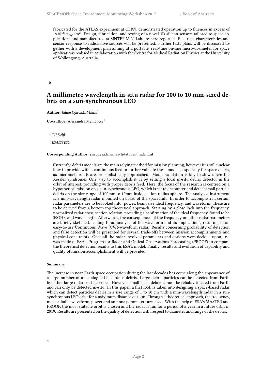fabricated for the ATLAS experiment at CERN, demonstrated operation up to fluences in excess of 1x10<sup>16</sup> n*eq*/cm<sup>2</sup> . Design, fabrication, and testing of a novel 3D silicon sensors tailored to space applications and manufactured at SINTEF MiNaLab are here reported. Electrical characteristics and sensor response to radioactive sources will be presented. Further tests plans will be discussed together with a development plan aiming at a portable, real-time on-line micro-dosimeter for space applications realised in collaboration with the Centre for Medical Radiation Physics at the University of Wollongong, Australia.

<span id="page-5-0"></span>**10**

### **A millimetre wavelength in-situ radar for 100 to 10 mm-sized debris on a sun-synchronous LEO**

Author: Jaime Quesada Manas<sup>1</sup>

**Co-author:** Alessandra Menicucci <sup>2</sup>

1 *TU Delft*

2 *ESA/ESTEC*

**Corresponding Author:** j.m.quesadamanas-1@student.tudelft.nl

Currently, debris models are the main relying method for mission planning, however it is still unclear how to provide with a continuous feed to further validate these models, especially for space debris, as micrometeoroids are probabilistically approached. Model validation is key to slow down the Kessler syndrome. One way to accomplish it, is by setting a local in-situ debris detector in the orbit of interest, providing with proper debris feed. Here, the focus of the research is centred on a hypothetical mission on a sun-synchronous LEO, which is set to encounter and detect small particle debris on the size range of 100mm to 10mm inside a 1km radius sphere. The analysed instrument is a mm-wavelength radar mounted on board of the spacecraft. In order to accomplish it, certain radar parameters are to be looked into: power, beam size ideal frequency, and waveform. These are to be derived from a bottom-top theoretical approach. Starting by a close look into the frequencynormalized radar cross-section relation, providing a confirmation of the ideal frequency, found to be 39GHz, and wavelength. Afterwards, the consequences of the frequency on other radar parameters are briefly sketched, leading to an analysis of the waveform and its implications, resulting in an easy-to-use Continuous Wave (CW)-waveform radar. Results concerning probability of detection and false detection will be presented for several trade-offs between mission accomplishments and physical constraints. Once all the radar involved parameters and options were decided upon, use was made of ESA's Program for Radar and Optical Observations Forecasting (PROOF) to compare the theoretical detection results to this ESA's model. Finally, results and evolution of capability and quality of mission accomplishment will be provided.

#### **Summary**:

<span id="page-5-1"></span>The increase in near-Earth space occupation during the last decades has come along the appearance of a large number of uncatalogued hazardous debris. Large debris particles can be detected from Earth by either large radars or telescopes. However, small-sized debris cannot be reliably tracked from Earth and can only be detected in-situ. In this paper, a first look is taken into designing a space-based radar which can detect particles debris in a size range of 1 to 10 cm with a mm-wavelength radar in a sunsynchronous LEO orbit for a máximum distance of 1 km. Through a theoretical approach, the frequency, most suitable waveform, power and antenna parameters are sized. With the help of ESA's MASTER and PROOF, the most suitable orbit is chosen and the radar is ran for a period of a year in a future orbit in 2019. Results are presented on the quality of detection with respect to diameter and range of the debris.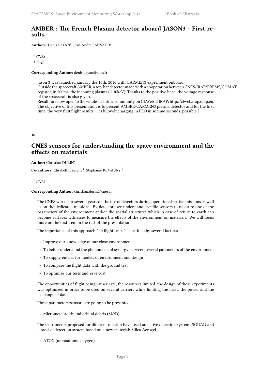### **AMBER : The French Plasma detector aboard JASON3 - First results**

Authors: Denis PAYAN<sup>1</sup>; Jean-André SAUVAUD<sup>2</sup>

<sup>1</sup> *CNES*

2 *IRAP*

### **Corresponding Author:** denis.payan@cnes.fr

Jason 3 was launched january the 16th, 2016 with CARMEN3 expériment onboard. Outside the spacecraft AMBER, a top-hat detector made with a cooperation between CNES/IRAP/EREMS/COMAT, register, in 500ms, the incoming plasma (0-30keV). Thanks to the positive head, the voltage response of the spacecraft is also given. Results are now open to the whole scientific community on CLWeb at IRAP: http://clweb.irap.omp.eu/.

The objective of this presentation is to present AMBRE-CARMEN3 plasma detector and for the first time, the very first flight results … is kilovolt charging in PEO in somme seconds, possible ?

### <span id="page-6-0"></span>**16**

### **CNES sensors for understanding the space environment and the effects on materials**

**Author:** Christian DURIN<sup>1</sup>

Co-authors: Elisabeth Laurent<sup>1</sup>; Stéphanie REMAURY<sup>1</sup>

<sup>1</sup> *CNES*

### **Corresponding Author:** christian.durin@cnes.fr

The CNES works for several years on the use of detectors during operational spatial missions as well as on the dedicated missions. By detectors we understand specific sensors to measure one of the parameters of the environment and/or the spatial structures which in case of return to earth can become surfaces witnesses to measure the effects of the environment on materials. We will focus more on the first item in the rest of the presentation

The importance of this approach " in flight tests " is justified by several factors:

- Improve our knowledge of our close environment ·
- To better understand the phenomena of synergy between several parameters of the environment
- To supply entries for models of environment and design
- To compare the flight data with the ground test
- To optimize our tests and save cost

The opportunities of flight being rather rare, the resources limited, the design of these experiments was optimized in order to be used on several carriers while limiting the mass, the power and the exchange of data.

Three parameters/sensors are going to be presented:

• Micrometeoroids and orbital debris (M&D)

The instruments proposed for different mission have used an active detection system: SODAD and a passive detection system based on a new material: Silica Aerogel.

• ATOX (monoatomic oxygen)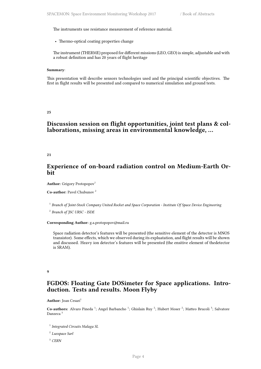The instruments use resistance measurement of reference material.

• Thermo-optical coating properties change

The instrument (THERME) proposed for different missions (LEO, GEO) is simple, adjustable and with a robust definition and has 20 years of flight heritage

#### **Summary**:

This presentation will describe sensors technologies used and the principal scientific objectives. The first in flight results will be presented and compared to numerical simulation and ground tests.

<span id="page-7-0"></span>**25**

### **Discussion session on flight opportunities, joint test plans & collaborations, missing areas in environmental knowledge, …**

<span id="page-7-1"></span>**21**

### **Experience of on-board radiation control on Medium-Earth Orbit**

Author: Grigory Protopopov<sup>1</sup>

**Co-author:** Pavel Chubunov <sup>2</sup>

1 *Branch of Joint-Stock Company United Rocket and Space Corporation - Institute Of Space Device Engineering*

2 *Branch of JSC URSC - ISDE*

### **Corresponding Author:** g.a.protopopov@mail.ru

Space radiation detector's features will be presented (the sensitive element of the detector is MNOS transistor). Some effects, which we observed during its expluatation, and flight results will be shown and discussed. Heavy ion detector's features will be presented (the ensitive element of thedetector is SRAM).

#### <span id="page-7-2"></span>**9**

### **FGDOS: Floating Gate DOSimeter for Space applications. Introduction. Tests and results. Moon Flyby**

Author: Joan Cesari<sup>1</sup>

Co-authors: Alvaro Pineda<sup>1</sup>; Angel Barbancho<sup>1</sup>; Ghislain Ruy<sup>2</sup>; Hubert Moser<sup>2</sup>; Matteo Brucoli<sup>3</sup>; Salvatore Danzeca<sup>3</sup>

1 *Integrated Circuits Malaga SL*

2 *Luxspace Sarl*

<sup>3</sup> *CERN*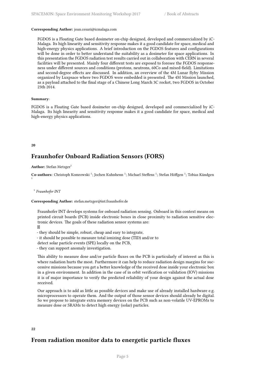### **Corresponding Author:** joan.cesari@icmalaga.com

FGDOS is a Floating Gate based dosimeter on-chip designed, developed and commercialized by iC-Malaga. Its high linearity and sensitivity response makes it a good candidate for space, medical and high-energy physics applications. A brief introduction on the FGDOS features and configurations will be done in order to better understand the suitability as a dosimeter for space applications. In this presentation the FGDOS radiation test results carried out in collaboration with CERN in several facilities will be presented. Mainly four different tests are exposed to foresee the FGDOS responseness under different sources and conditions (protons, neutrons, 60Co and mixed-field). Limitations and second-degree effects are discussed. In addition, an overview of the 4M Lunar flyby Mission organized by Luxpsace where two FGDOS were embedded is presented. The 4M Mission launched, as a payload attached to the final stage of a Chinese Long March 3C rocket, two FGDOS in October 23th 2014.

### **Summary**:

FGDOS is a Floating Gate based dosimeter on-chip designed, developed and commercialized by iC-Malaga. Its high linearity and sensitivity response makes it a good candidate for space, medical and high-energy physics applications.

#### <span id="page-8-0"></span>**20**

1

### **Fraunhofer Onboard Radiation Sensors (FORS)**

**Author:** Stefan Metzger<sup>1</sup>

Co-authors: Christoph Komrowski<sup>1</sup>; Jochen Kuhnhenn<sup>1</sup>; Michael Steffens<sup>1</sup>; Stefan Höffgen<sup>1</sup>; Tobias Kündgen

1 *Fraunhofer INT*

### **Corresponding Author:** stefan.metzger@int.fraunhofer.de

Fraunhofer INT develops systems for onboard radiation sensing. Onboard in this context means on printed circuit boards (PCB) inside electronic boxes in close proximity to radiation sensitive electronic devices. The goals of these radiation sensor systems are:

 $\boxtimes$ 

- they should be simple, robust, cheap and easy to integrate,
- it should be possible to measure total ionizing dose (TID) and/or to
- detect solar particle events (SPE) locally on the PCB,
- they can support anomaly investigation.

This ability to measure dose and/or particle fluxes on the PCB is particularly of interest as this is where radiation hurts the most. Furthermore it can help to reduce radiation design margins for successive missions because you get a better knowledge of the received dose inside your electronic box in a given environment. In addition in the case of in orbit verification or validation (IOV) missions it is of major importance to verify the predicted reliability of your design against the actual dose received.

Our approach is to add as little as possible devices and make use of already installed hardware e.g. microprocessors to operate them. And the output of those sensor devices should already be digital. So we propose to integrate extra memory devices on the PCB such as non-volatile UV-EPROMs to measure dose or SRAMs to detect high energy (solar) particles.

### <span id="page-8-1"></span>**22**

### **From radiation monitor data to energetic particle fluxes**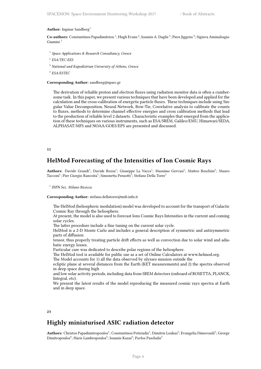#### Author: Ingmar Sandberg<sup>1</sup>

Co-authors: Constantinos Papadimitriou<sup>1</sup>; Hugh Evans<sup>2</sup>; Ioannis A. Daglis<sup>3</sup>; Piers Jiggens<sup>4</sup>; Sigiava Aminalragia-Giamini <sup>1</sup>

- 1 *Space Applications & Research Consultancy, Greece*
- 2 *ESA/TEC-EES*
- <sup>3</sup> *National and Kapodistrian University of Athens, Greece*

4 *ESA/ESTEC*

### **Corresponding Author:** sandberg@sparc.gr

The derivation of reliable proton and electron fluxes using radiation monitor data is often a cumbersome task. In this paper, we present various techniques that have been developed and applied for the calculation and the cross-calibration of energetic particle fluxes. These techniques include using Singular Value Decomposition, Neural Network, Bow-Tie, Correlative analysis to calibrate the counts to fluxes, methods to determine channel effective energies and cross calibration methods that lead to the production of reliable level 2 datasets. Characteristic examples that emerged from the application of these techniques on various instruments, such as ESA/SREM, Galileo/EMU, Himawari/SEDA, ALPHASAT/MFS and NOAA/GOES/EPS are presented and discussed.

#### <span id="page-9-0"></span>**11**

### **HelMod Forecasting of the Intensities of Ion Cosmic Rays**

Authors: Davide Grandi<sup>1</sup>; Davide Rozza<sup>1</sup>; Giuseppe La Vacca<sup>1</sup>; Massimo Gervasi<sup>1</sup>; Matteo Boschini<sup>1</sup>; Mauro Tacconi<sup>1</sup>; Pier Giorgio Rancoita<sup>1</sup>; Simonetta Pensotti<sup>1</sup>; Stefano Della Torre<sup>1</sup>

1 *INFN Sez. Milano Bicocca*

#### **Corresponding Author:** stefano.dellatorre@mib.infn.it

The HelMod (heliospheric modulation) model was developed to account for the transport of Galactic Cosmic Ray through the heliosphere.

At present, the model is also used to forecast Ions Cosmic Rays Intensities in the current and coming solar cycles.

The latter procedure include a fine tuning on the current solar cycle.

HelMod is a 2-D Monte Carlo and includes a general description of symmetric and antisymmetric parts of diffusion

tensor, thus properly treating particle drift effects as well as convection due to solar wind and adiabatic energy losses.

Particular care was dedicated to describe polar regions of the heliosphere.

The HelMod tool is available for public use as a set of Online Calculators at www.helmod.org. The Model accounts for 1) all the data observed by ulysses mission outside the

ecliptic plane at several distances from the Earth (KET measurements) and 2) the spectra observed in deep space during high

and low solar activity periods, including data from SREM detectors (onboard of ROSETTA, PLANCK, Integral, etc).

We present the latest results of the model reproducing the measured cosmic rays spectra at Earth and in deep space.

### <span id="page-9-1"></span>**23**

### **Highly miniaturised ASIC radiation detector**

 $\bf{Authors:}$  Christos Papadimitropoulos<sup>1</sup>; Constantinos Potiriadis<sup>1</sup>; Dimitris Loukas<sup>2</sup>; Evangelia Dimovasili<sup>3</sup>; George Dimitropoulos $\mathrm{^4;}$ ; Haris Lambropoulos $\mathrm{^5;}$ ; Ioannis Kazas $\mathrm{^6;}$ ; Pavlos Paschalis $\mathrm{^3}$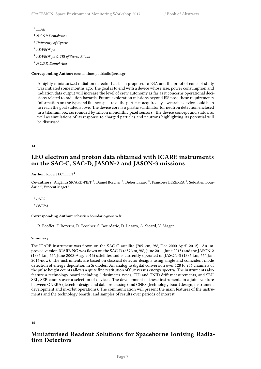1 *EEAE*

- <sup>2</sup> *N.C.S.R Demokritos*
- <sup>3</sup> *University of Cyprus*
- <sup>4</sup> *ADVEOS pc*
- <sup>5</sup> *ADVEOS pc & TEI of Sterea Ellada*
- <sup>6</sup> *N.C.S.R. Demokritos*

### **Corresponding Author:** constantinos.potiriadis@eeae.gr

A highly miniaturized radiation detector has been proposed to ESA and the proof of concept study was initiated some months ago. The goal is to end with a device whose size, power consumption and radiation data output will increase the level of crew autonomy as far as it concerns operational decisions related to radiation hazards. Future exploration missions beyond ISS pose these requirements. Information on the type and fluence spectra of the particles acquired by a wearable device could help to reach the goal stated above. The device core is a plastic scintillator for neutron detection enclosed in a titanium box surrounded by silicon monolithic pixel sensors. The device concept and status, as well as simulations of its response to charged particles and neutrons highlighting its potential will be discussed.

### <span id="page-10-0"></span>**14**

### **LEO electron and proton data obtained with ICARE instruments on the SAC-C, SAC-D, JASON-2 and JASON-3 missions**

### Author: Robert ECOFFET<sup>1</sup>

Co-authors: Angélica SICARD-PIET<sup>2</sup>; Daniel Boscher<sup>2</sup>; Didier Lazaro<sup>2</sup>; Françoise BEZERRA<sup>1</sup>; Sebastien Bourdarie<sup>2</sup>; Vincent Maget<sup>2</sup>

<sup>1</sup> *CNES*

<sup>2</sup> *ONERA*

### **Corresponding Author:** sebastien.bourdarie@onera.fr

R. Ecoffet, F. Bezerra, D. Boscher, S. Bourdarie, D. Lazaro, A. Sicard, V. Maget

### **Summary**:

The ICARE instrument was flown on the SAC-C satellite (705 km, 98°, Dec 2000-April 2012). An improved version ICARE-NG was flown on the SAC-D (657 km, 98°, June 2011-June 2015) and the JASON-2 (1336 km, 66°, June 2008-Aug. 2016) satellites and is currently operated on JASON-3 (1336 km, 66°, Jan. 2016-now). The instruments are based on classical detector designs using single and coincident mode detection of energy deposition in Si diodes. An analog to digital conversion over 128 to 256 channels of the pulse height counts allows a quite fine restitution of flux versus energy spectra. The instruments also feature a technology board including 2 dosimeter types, TID and TNID drift measurements, and SEU, SEL, SEB counts over a selection of devices. The development of these instruments in a joint venture between ONERA (detector design and data processing) and CNES (technology board design, instrument development and in-orbit operations). The communication will present the main features of the instruments and the technology boards, and samples of results over periods of interest.

### <span id="page-10-1"></span>**15**

### **Miniaturised Readout Solutions for Spaceborne Ionising Radiation Detectors**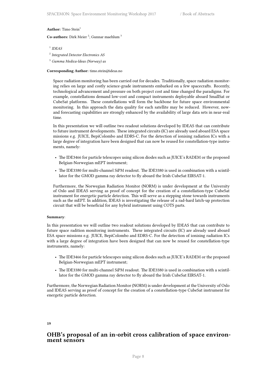#### **Author:** Timo Stein<sup>1</sup>

Co-authors: Dirk Meier<sup>2</sup>; Gunnar maehlum<sup>3</sup>

<sup>1</sup> *IDEAS* 

- 2 *Integrated Detector Electronics AS*
- <sup>3</sup> *Gamma Medica-Ideas (Norway) as*

#### **Corresponding Author:** timo.stein@ideas.no

Space radiation monitoring has been carried out for decades. Traditionally, space radiation monitoring relies on large and costly science-grade instruments embarked on a few spacecrafts. Recently, technological advancement and pressure on both project cost and time changed the paradigms. For example, constellations demand low-cost and compact instruments deployable aboard SmallSat or CubeSat platforms. These constellations will form the backbone for future space environmental monitoring. In this approach the data quality for each satellite may be reduced. However, nowand forecasting capabilities are strongly enhanced by the availability of large data sets in near-real time.

In this presentation we will outline two readout solutions developed by IDEAS that can contribute to future instrument developments. These integrated circuits (IC) are already used aboard ESA space missions e.g. JUICE, BepiColombo and EDRS-C. For the detection of ionising radiation ICs with a large degree of integration have been designed that can now be reused for constellation-type instruments, namely:

- The IDE3466 for particle telescopes using silicon diodes such as JUICE's RADEM or the proposed Belgian-Norwegian mEPT instrument;
- The IDE3380 for multi-channel SiPM readout. The IDE3380 is used in combination with a scintillator for the GMOD gamma ray detector to fly aboard the Irish CubeSat EIRSAT-1.

Furthermore, the Norwegian Radiation Monitor (NORM) is under development at the University of Oslo and IDEAS serving as proof of concept for the creation of a constellation-type CubeSat instrument for energetic particle detection. This will serve as a stepping stone towards instruments such as the mEPT. In addition, IDEAS is investigating the release of a rad-hard latch-up protection circuit that will be beneficial for any hybrid instrument using COTS parts.

### **Summary**:

In this presentation we will outline two readout solutions developed by IDEAS that can contribute to future space radition monitoring instruments. These integrated circuits (IC) are already used aboard ESA space missions e.g. JUICE, BepiColombo and EDRS-C. For the detection of ionising radiation ICs with a large degree of integration have been designed that can now be reused for constellation-type instruments, namely:

- The IDE3466 for particle telescopes using silicon diodes such as JUICE's RADEM or the proposed Belgian-Norwegian mEPT instrument;
- The IDE3380 for multi-channel SiPM readout. The IDE3380 is used in combination with a scintillator for the GMOD gamma ray detector to fly aboard the Irish CubeSat EIRSAT-1.

Furthermore, the Norwegian Radiation Monitor (NORM) is under development at the University of Oslo and IDEAS serving as proof of concept for the creation of a constellation-type CubeSat instrument for energetic particle detection.

### <span id="page-11-0"></span>**19**

### **OHB's proposal of an in-orbit cross calibration of space environment sensors**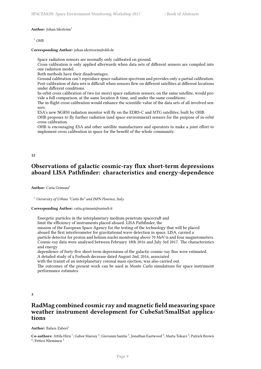#### Author: Johan Ideström<sup>1</sup>

<sup>1</sup> *OHB*

**Corresponding Author:** johan.idestroem@ohb.de

Space radiation sensors are normally only calibrated on ground.

Cross calibration is only applied afterwards when data sets of different sensors are compiled into one radiation model.

Both methods have their disadvantages.

Ground calibration can't reproduce space radiation spectrum and provides only a partial calibration. Post-calibration of data sets is difficult when sensors flew on different satellites at different locations under different conditions.

In-orbit cross calibration of two (or more) space radiation sensors, on the same satellite, would provide a full comparison, at the same location & time, and under the same conditions.

The in-flight cross calibration would enhance the scientific value of the data sets of all involved sensors.

ESA's new NGRM radiation monitor will fly on the EDRS-C and MTG satellites, built by OHB. OHB proposes to fly further radiation (and space environment) sensors for the purpose of in-orbit cross calibration.

OHB is encouraging ESA and other satellite manufactures and operators to make a joint effort to implement cross calibration in space for the benefit of the whole community.

### <span id="page-12-0"></span>**12**

### **Observations of galactic cosmic-ray flux short-term depressions aboard LISA Pathfinder: characteristics and energy-dependence**

**Author:** Catia Grimani<sup>1</sup>

<sup>1</sup> *University of Urbino "Carlo Bo" and INFN Florence, Italy*

### **Corresponding Author:** catia.grimani@uniurb.it

Energetic particles in the interplanetary medium penetrate spacecraft and limit the efficiency of instruments placed aboard. LISA Pathfinder, the mission of the European Space Agency for the testing of the technology that will be placed aboard the first interferometer for gravitational wave detection in space, LISA, carried a particle detector for proton and helium nuclei monitoring above 70 MeV/n and four magnetometers. Cosmic-ray data were analysed between February 18th 2016 and July 3rd 2017. The characteristics and energy

dependence of forty-five short-term depressions of the galactic cosmic-ray flux were estimated. A detailed study of a Forbush decrease dated August 2nd, 2016, associated

with the transit of an interplanetary coronal mass ejection, was also carried out.

The outcomes of the present work can be used in Monte Carlo simulations for space instrument performance estimates.

### <span id="page-12-1"></span>**3**

### **RadMag combined cosmic ray and magnetic field measuring space weather instrument development for CubeSat/SmallSat applications**

Author: Balazs Zabori<sup>1</sup>

Co-authors: Attila Hirn <sup>1</sup>; Gabor Marosy <sup>2</sup>; Giovanni Santin <sup>3</sup>; Jonathan Eastwood <sup>4</sup>; Marta Tokarz <sup>5</sup>; Patrick Brown <sup>4</sup>; Petteri Nieminen<sup>3</sup>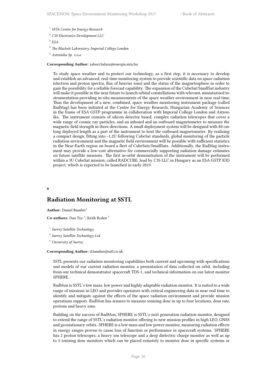- <sup>1</sup> *MTA Centre for Energy Research*
- <sup>2</sup> *C3S Electronics Development LLC*

3 *ESA*

<sup>4</sup> *The Blackett Laboratory, Imperial College London*

<sup>5</sup> *Astronika Sp. z.o.o.*

### **Corresponding Author:** zabori.balazs@energia.mta.hu

To study space weather and to protect our technology, as a first step, it is necessary to develop and establish an advanced, real-time monitoring system to provide scientific data on space radiation (electron and proton spectra, flux of heavier ions) and the status of the magnetosphere in order to gain the possibility for a reliable forecast capability. The expansion of the CubeSat/SmallSat industry will make it possible in the near future to launch orbital constellations with relevant, miniaturised instrumentation providing in-situ measurements of the space weather environment in near real-time. Thus the development of a new, combined, space weather monitoring instrument package (called RadMag) has been initiated at the Centre for Energy Research, Hungarian Academy of Sciences in the frame of ESA GSTP programme in collaboration with Imperial College London and Astronika. The instrument consists of silicon detector based, complex radiation telescopes that cover a wide range of cosmic ray particles, and an inboard and an outboard magnetometer to measure the magnetic field strength in three directions. A small deployment system will be designed with 80 cmlong deployed length as a part of the instrument to host the outboard magnetometer. By realizing a compact design, fitting into ~1.2U following CubeSat standards, global monitoring of the particle radiation environment and the magnetic field environment will be possible with sufficient statistics in the Near-Earth region on board a fleet of CubeSats/SmallSats. Additionally, the RadMag instrument may provide a low-cost alternative for commercially supporting radiation damage estimates on future satellite missions. The first in-orbit demonstration of the instrument will be performed within a 3U CubeSat mission, called RADCUBE, lead by C3S LLC in Hungary as an ESA GSTP IOD project, which is expected to be launched in early 2019.

#### <span id="page-13-0"></span>**8**

### **Radiation Monitoring at SSTL**

**Author:** Daniel Bamber<sup>1</sup>

**Co-authors:** Dan Tye<sup>2</sup>; Keith Ryden<sup>3</sup>

- 1 *Surrey Satellite Technology*
- 2 *Surrey Satellite Technology Ltd*

<sup>3</sup> *University of Surrey*

#### **Corresponding Author:** d.bamber@sstl.co.uk

SSTL presents our radiation monitoring capabilities both current and upcoming with specifications and models of our current radiation monitor, a presentation of data collected on orbit, including from our technical demonstrator spacecraft TDS-1, and technical information on our latest monitor SPHERE.

RadMon is SSTL's low mass, low power and highly adaptable radiation monitor. It is suited to a wide range of missions in LEO and provides operators with critical engineering data in near real time to identify and mitigate against the effects of the space radiation environment and provide mission operations support. RadMon has sensors to measure ionising dose in up to four locations, dose rate, protons and heavy ions.

Building on the success of RadMon, SPHERE is SSTL's next generation radiation monitor, designed to extend the range of SSTL's radiation monitor offering to new mission profiles in high LEO, GNSS and geostationary orbits. SPHERE is a low mass and low power monitor, measuring radiation effects in energy ranges proven to cause loss of function or performance in spacecraft systems. SPHERE has 2 proton telescopes, a heavy ion telescope and a deep dielectric charge monitor as well as up to 5 ionising dose monitors which can be placed remotely to monitor dose in specific systems or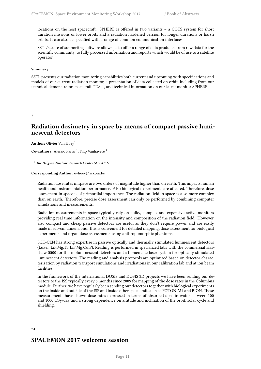locations on the host spacecraft. SPHERE is offered in two variants – a COTS system for short duration missions or lower orbits and a radiation hardened version for longer durations or harsh orbits. It can also be specified with a range of common communication interfaces.

SSTL's suite of supporting software allows us to offer a range of data products, from raw data for the scientific community, to fully processed information and reports which would be of use to a satellite operator.

#### **Summary**:

SSTL presents our radiation monitoring capabilities both current and upcoming with specifications and models of our current radiation monitor, a presentation of data collected on orbit, including from our technical demonstrator spacecraft TDS-1, and technical information on our latest monitor SPHERE.

<span id="page-14-0"></span>**5**

### **Radiation dosimetry in space by means of compact passive luminescent detectors**

**Author:** Olivier Van Hoey<sup>1</sup>

Co-authors: Alessio Parisi<sup>1</sup>; Filip Vanhavere<sup>1</sup>

<sup>1</sup> *The Belgian Nuclear Research Center SCK-CEN*

### **Corresponding Author:** ovhoey@sckcen.be

Radiation dose rates in space are two orders of magnitude higher than on earth. This impacts human health and instrumentation performance. Also biological experiments are affected. Therefore, dose assessment in space is of primordial importance. The radiation field in space is also more complex than on earth. Therefore, precise dose assessment can only be performed by combining computer simulations and measurements.

Radiation measurements in space typically rely on bulky, complex and expensive active monitors providing real time information on the intensity and composition of the radiation field. However, also compact and cheap passive detectors are useful as they don't require power and are easily made in sub-cm dimensions. This is convenient for detailed mapping, dose assessment for biological experiments and organ dose assessments using anthropomorphic phantoms.

SCK•CEN has strong expertise in passive optically and thermally stimulated luminescent detectors (Luxel, LiF:Mg,Ti, LiF:Mg,Cu,P). Reading is performed in specialized labs with the commercial Harshaw 5500 for thermoluminescent detectors and a homemade laser system for optically stimulated luminescent detectors. The reading and analysis protocols are optimized based on detector characterization by radiation transport simulations and irradiations in our calibration lab and at ion beam facilities.

In the framework of the international DOSIS and DOSIS 3D projects we have been sending our detectors to the ISS typically every 6 months since 2009 for mapping of the dose rates in the Columbus module. Further, we have regularly been sending our detectors together with biological experiments on the inside and outside of the ISS and inside other spacecraft such as FOTON-M4 and BION. These measurements have shown dose rates expressed in terms of absorbed dose in water between 100 and 1000 µGy/day and a strong dependence on altitude and inclination of the orbit, solar cycle and shielding.

### **24**

### **SPACEMON 2017 welcome session**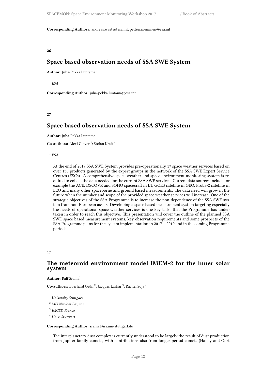**Corresponding Authors:** andreas.waets@esa.int, petteri.nieminen@esa.int

<span id="page-15-0"></span>**26**

### **Space based observation needs of SSA SWE System**

**Author:** Juha-Pekka Luntama<sup>1</sup>

1 *ESA*

**Corresponding Author:** juha-pekka.luntama@esa.int

<span id="page-15-1"></span>**27**

### **Space based observation needs of SSA SWE System**

Author: Juha-Pekka Luntama<sup>1</sup>

Co-authors: Alexi Glover<sup>1</sup>; Stefan Kraft<sup>1</sup>

1 *ESA*

At the end of 2017 SSA SWE System provides pre-operationally 17 space weather services based on over 130 products generated by the expert groups in the network of the SSA SWE Expert Service Centres (ESCs). A comprehensive space weather and space environment monitoring system is required to collect the data needed for the current SSA SWE services. Current data sources include for example the ACE, DSCOVR and SOHO spacecraft in L1, GOES satellite in GEO, Proba-2 satellite in LEO and many other spaceborne and ground based measurements. The data need will grow in the future when the number and scope of the provided space weather services will increase. One of the strategic objectives of the SSA Programme is to increase the non-dependence of the SSA SWE system from non-European assets. Developing a space based measurement system targeting especially the needs of operational space weather services is one key tasks that the Programme has undertaken in order to reach this objective. This presentation will cover the outline of the planned SSA SWE space based measurement systems, key observation requirements and some prospects of the SSA Programme plans for the system implementation in 2017 – 2019 and in the coming Programme periods.

### <span id="page-15-2"></span>**17**

### **The meteoroid environment model IMEM-2 for the inner solar system**

**Author:** Ralf Srama<sup>1</sup>

Co-authors: Eberhard Grün<sup>2</sup>; Jacques Laskar<sup>3</sup>; Rachel Soja<sup>4</sup>

<sup>1</sup> *University Stuttgart*

<sup>2</sup> *MPI Nuclear Physics*

3 *IMCEE, France*

<sup>4</sup> *Univ. Stuttgart*

#### **Corresponding Author:** srama@irs.uni-stuttgart.de

The interplanetary dust complex is currently understood to be largely the result of dust production from Jupiter-family comets, with contributions also from longer period comets (Halley and Oort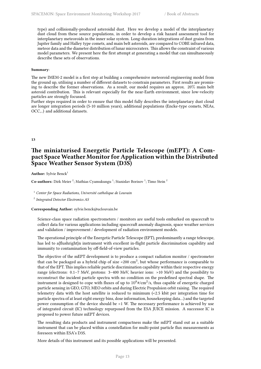type) and collisionally-produced asteroidal dust. Here we develop a model of the interplanetary dust cloud from these source populations, in order to develop a risk hazard assessment tool for interplanetary meteoroids in the inner solar system. Long-duration integrations of dust grains from Jupiter family and Halley type comets, and main belt asteroids, are compared to COBE infrared data, meteor data and the diameter distribution of lunar microcraters. This allows the constraint of various model parameters. We present here the first attempt at generating a model that can simultaneously describe these sets of observations.

#### **Summary**:

The new IMEM-2 model is a first step at building a comprehensive meteoroid engineering model from the ground up, utilising a number of different datasets to constrain parameters. First results are promising to describe the former observations. As a result, our model requires an approx. 20% main belt asteroid contribution. This is relevant especially for the near-Earth environment, since low-velocity particles are strongly focussed.

Further steps required in order to ensure that this model fully describes the interplanetary dust cloud are longer integration periods (5-10 million years), additional populations (Encke-type comets, NEAs, OCC,..) and additional datasets.

### <span id="page-16-0"></span>**13**

### **The miniaturised Energetic Particle Telescope (mEPT): A Compact SpaceWeather Monitor for Application within the Distributed Space Weather Sensor System (D3S)**

Author: Sylvie Benck<sup>1</sup>

Co-authors: Dirk Meier<sup>2</sup>; Mathias Cyamukungu<sup>1</sup>; Stanislav Borisov<sup>1</sup>; Timo Stein<sup>2</sup>

<sup>1</sup> *Center for Space Radiations, Université catholique de Louvain*

2 *Integrated Detector Electronics AS*

### **Corresponding Author:** sylvie.benck@uclouvain.be

Science-class space radiation spectrometers / monitors are useful tools embarked on spacecraft to collect data for various applications including spacecraft anomaly diagnosis, space weather services and validation / improvement / development of radiation environment models.

The operational principle of the Energetic Particle Telescope (EPT), predominantly a range telescope, has led to a{flushright}n instrument with excellent in-flight particle discrimination capability and immunity to contamination by off-field-of-view particles.

The objective of the mEPT development is to produce a compact radiation monitor / spectrometer that can be packaged as a hybrid chip of size <200 cm<sup>3</sup>, but whose performance is comparable to that of the EPT. This implies reliable particle discrimination capability within their respective energy range (electrons: 0.1–7 MeV, protons: 3–400 MeV, heavier ions: >10 MeV) and the possibility to reconstruct the incident particle spectra with no condition on the predefined spectral shape. The instrument is designed to cope with fluxes of up to  $10^8$ #/cm<sup>2</sup>/s, thus capable of energetic charged particle sensing in GEO, GTO, MEO orbits and during Electric Propulsion orbit raising. The required telemetry data with the host satellite is reduced to minimum (<2.5 kbit per integration time for particle spectra of at least eight energy bins, dose information, housekeeping data…) and the targeted power consumption of the device should be <1 W. The necessary performance is achieved by use of integrated circuit (IC) technology repurposed from the ESA JUICE mission. A successor IC is proposed to power future mEPT devices.

The resulting data products and instrument compactness make the mEPT stand out as a suitable instrument that can be placed within a constellation for multi-point particle flux measurements as foreseen within ESA's D3S.

More details of this instrument and its possible applications will be presented.